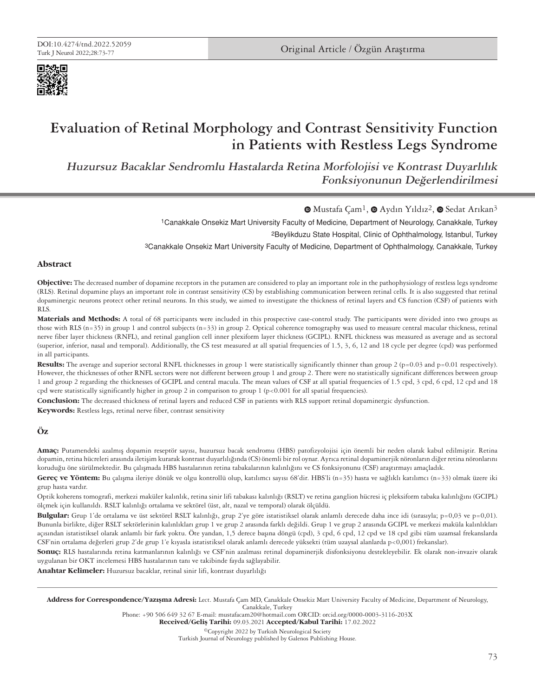



# **Evaluation of Retinal Morphology and Contrast Sensitivity Function in Patients with Restless Legs Syndrome**

**Huzursuz Bacaklar Sendromlu Hastalarda Retina Morfolojisi ve Kontrast Duyarlılık Fonksiyonunun Değerlendirilmesi**

 $\bullet$  [M](https://orcid.org/0000-0003-3116-203X)ustafaCam<sup>1</sup>,  $\bullet$  Aydın Yıldız<sup>2</sup>,  $\bullet$  Sedat Arıkan<sup>3</sup>

1Canakkale Onsekiz Mart University Faculty of Medicine, Department of Neurology, Canakkale, Turkey

2Beylikduzu State Hospital, Clinic of Ophthalmology, Istanbul, Turkey

3Canakkale Onsekiz Mart University Faculty of Medicine, Department of Ophthalmology, Canakkale, Turkey

## **Abstract**

**Objective:** The decreased number of dopamine receptors in the putamen are considered to play an important role in the pathophysiology of restless legs syndrome (RLS). Retinal dopamine plays an important role in contrast sensitivity (CS) by establishing communication between retinal cells. It is also suggested that retinal dopaminergic neurons protect other retinal neurons. In this study, we aimed to investigate the thickness of retinal layers and CS function (CSF) of patients with RLS.

**Materials and Methods:** A total of 68 participants were included in this prospective case-control study. The participants were divided into two groups as those with RLS (n=35) in group 1 and control subjects (n=33) in group 2. Optical coherence tomography was used to measure central macular thickness, retinal nerve fiber layer thickness (RNFL), and retinal ganglion cell inner plexiform layer thickness (GCIPL). RNFL thickness was measured as average and as sectoral (superior, inferior, nasal and temporal). Additionally, the CS test measured at all spatial frequencies of 1.5, 3, 6, 12 and 18 cycle per degree (cpd) was performed in all participants.

**Results:** The average and superior sectoral RNFL thicknesses in group 1 were statistically significantly thinner than group 2 (p=0.03 and p=0.01 respectively). However, the thicknesses of other RNFL sectors were not different between group 1 and group 2. There were no statistically significant differences between group 1 and group 2 regarding the thicknesses of GCIPL and central macula. The mean values of CSF at all spatial frequencies of 1.5 cpd, 3 cpd, 6 cpd, 12 cpd and 18 cpd were statistically significantly higher in group 2 in comparison to group 1 (p<0.001 for all spatial frequencies).

**Conclusion:** The decreased thickness of retinal layers and reduced CSF in patients with RLS support retinal dopaminergic dysfunction.

**Keywords:** Restless legs, retinal nerve fiber, contrast sensitivity

# **Öz**

**Amaç:** Putamendeki azalmış dopamin reseptör sayısı, huzursuz bacak sendromu (HBS) patofizyolojisi için önemli bir neden olarak kabul edilmiştir. Retina dopamin, retina hücreleri arasında iletişim kurarak kontrast duyarlılığında (CS) önemli bir rol oynar. Ayrıca retinal dopaminerjik nöronların diğer retina nöronlarını koruduğu öne sürülmektedir. Bu çalışmada HBS hastalarının retina tabakalarının kalınlığını ve CS fonksiyonunu (CSF) araştırmayı amaçladık.

**Gereç ve Yöntem:** Bu çalışma ileriye dönük ve olgu kontrollü olup, katılımcı sayısı 68'dir. HBS'li (n=35) hasta ve sağlıklı katılımcı (n=33) olmak üzere iki grup hasta vardır.

Optik koherens tomografi, merkezi maküler kalınlık, retina sinir lifi tabakası kalınlığı (RSLT) ve retina ganglion hücresi iç pleksiform tabaka kalınlığını (GCIPL) ölçmek için kullanıldı. RSLT kalınlığı ortalama ve sektörel (üst, alt, nazal ve temporal) olarak ölçüldü.

**Bulgular:** Grup 1'de ortalama ve üst sektörel RSLT kalınlığı, grup 2'ye göre istatistiksel olarak anlamlı derecede daha ince idi (sırasıyla; p=0,03 ve p=0,01). Bununla birlikte, diğer RSLT sektörlerinin kalınlıkları grup 1 ve grup 2 arasında farklı değildi. Grup 1 ve grup 2 arasında GCIPL ve merkezi maküla kalınlıkları açısından istatistiksel olarak anlamlı bir fark yoktu. Öte yandan, 1,5 derece başına döngü (cpd), 3 cpd, 6 cpd, 12 cpd ve 18 cpd gibi tüm uzamsal frekanslarda CSF'nin ortalama değerleri grup 2'de grup 1'e kıyasla istatistiksel olarak anlamlı derecede yüksekti (tüm uzaysal alanlarda p<0,001) frekanslar).

**Sonuç:** RLS hastalarında retina katmanlarının kalınlığı ve CSF'nin azalması retinal dopaminerjik disfonksiyonu destekleyebilir. Ek olarak non-invaziv olarak uygulanan bir OKT incelemesi HBS hastalarının tanı ve takibinde fayda sağlayabilir.

**Anahtar Kelimeler:** Huzursuz bacaklar, retinal sinir lifi, kontrast duyarlılığı

Address for Correspondence/Yazışma Adresi: Lect. Mustafa Çam MD, Canakkale Onsekiz Mart University Faculty of Medicine, Department of Neurology, Canakkale, Turkey

Phone: +90 506 649 32 67 E-mail: mustafacam20@hotmail.com ORCID: orcid.org/0000-0003-3116-203X

Received/Geliş Tarihi: 09.03.2021 Accepted/Kabul Tarihi: 17.02.2022

©Copyright 2022 by Turkish Neurological Society Turkish Journal of Neurology published by Galenos Publishing House.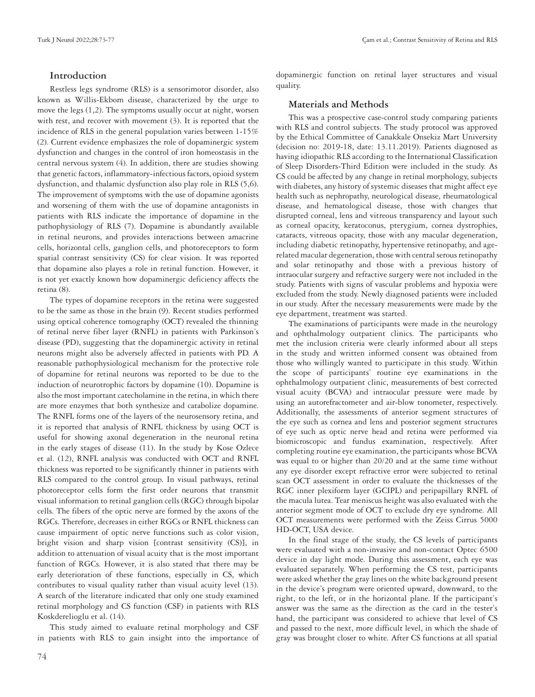## **Introduction**

Restless legs syndrome (RLS) is a sensorimotor disorder, also known as Willis-Ekbom disease, characterized by the urge to move the legs (1,2). The symptoms usually occur at night, worsen with rest, and recover with movement (3). It is reported that the incidence of RLS in the general population varies between 1-15% (2). Current evidence emphasizes the role of dopaminergic system dysfunction and changes in the control of iron homeostasis in the central nervous system (4). In addition, there are studies showing that genetic factors, inflammatory-infectious factors, opioid system dysfunction, and thalamic dysfunction also play role in RLS (5,6). The improvement of symptoms with the use of dopamine agonists and worsening of them with the use of dopamine antagonists in patients with RLS indicate the importance of dopamine in the pathophysiology of RLS (7). Dopamine is abundantly available in retinal neurons, and provides interactions between amacrine cells, horizontal cells, ganglion cells, and photoreceptors to form spatial contrast sensitivity (CS) for clear vision. It was reported that dopamine also playes a role in retinal function. However, it is not yet exactly known how dopaminergic deficiency affects the retina (8).

The types of dopamine receptors in the retina were suggested to be the same as those in the brain (9). Recent studies performed using optical coherence tomography (OCT) revealed the thinning of retinal nerve fiber layer (RNFL) in patients with Parkinson's disease (PD), suggesting that the dopaminergic activity in retinal neurons might also be adversely affected in patients with PD. A reasonable pathophysiological mechanism for the protective role of dopamine for retinal neurons was reported to be due to the induction of neurotrophic factors by dopamine (10). Dopamine is also the most important catecholamine in the retina, in which there are more enzymes that both synthesize and catabolize dopamine. The RNFL forms one of the layers of the neurosensory retina, and it is reported that analysis of RNFL thickness by using OCT is useful for showing axonal degeneration in the neuronal retina in the early stages of disease (11). In the study by Kose Ozlece et al. (12), RNFL analysis was conducted with OCT and RNFL thickness was reported to be significantly thinner in patients with RLS compared to the control group. In visual pathways, retinal photoreceptor cells form the first order neurons that transmit visual information to retinal ganglion cells (RGC) through bipolar cells. The fibers of the optic nerve are formed by the axons of the RGCs. Therefore, decreases in either RGCs or RNFL thickness can cause impairment of optic nerve functions such as color vision, bright vision and sharp vision [contrast sensitivity (CS)], in addition to attenuation of visual acuity that is the most important function of RGCs. However, it is also stated that there may be early deterioration of these functions, especially in CS, which contributes to visual quality rather than visual acuity level (13). A search of the literature indicated that only one study examined retinal morphology and CS function (CSF) in patients with RLS Koskderelioglu et al. (14).

This study aimed to evaluate retinal morphology and CSF in patients with RLS to gain insight into the importance of dopaminergic function on retinal layer structures and visual quality.

## **Materials and Methods**

This was a prospective case-control study comparing patients with RLS and control subjects. The study protocol was approved by the Ethical Committee of Canakkale Onsekiz Mart University (decision no: 2019-18, date: 13.11.2019). Patients diagnosed as having idiopathic RLS according to the International Classification of Sleep Disorders-Third Edition were included in the study. As CS could be affected by any change in retinal morphology, subjects with diabetes, any history of systemic diseases that might affect eye health such as nephropathy, neurological disease, rheumatological disease, and hematological disease, those with changes that disrupted corneal, lens and vitreous transparency and layout such as corneal opacity, keratoconus, pterygium, cornea dystrophies, cataracts, vitreous opacity, those with any macular degeneration, including diabetic retinopathy, hypertensive retinopathy, and agerelated macular degeneration, those with central serous retinopathy and solar retinopathy and those with a previous history of intraocular surgery and refractive surgery were not included in the study. Patients with signs of vascular problems and hypoxia were excluded from the study. Newly diagnosed patients were included in our study. After the necessary measurements were made by the eye department, treatment was started.

The examinations of participants were made in the neurology and ophthalmology outpatient clinics. The participants who met the inclusion criteria were clearly informed about all steps in the study and written informed consent was obtained from those who willingly wanted to participate in this study. Within the scope of participants' routine eye examinations in the ophthalmology outpatient clinic, measurements of best corrected visual acuity (BCVA) and intraocular pressure were made by using an autorefractometer and air-blow tonometer, respectively. Additionally, the assessments of anterior segment structures of the eye such as cornea and lens and posterior segment structures of eye such as optic nerve head and retina were performed via biomicroscopic and fundus examination, respectively. After completing routine eye examination, the participants whose BCVA was equal to or higher than 20/20 and at the same time without any eye disorder except refractive error were subjected to retinal scan OCT assessment in order to evaluate the thicknesses of the RGC inner plexiform layer (GCIPL) and peripapillary RNFL of the macula lutea. Tear meniscus height was also evaluated with the anterior segment mode of OCT to exclude dry eye syndrome. All OCT measurements were performed with the Zeiss Cirrus 5000 HD-OCT, USA device.

In the final stage of the study, the CS levels of participants were evaluated with a non-invasive and non-contact Optec 6500 device in day light mode. During this assessment, each eye was evaluated separately. When performing the CS test, participants were asked whether the gray lines on the white background present in the device's program were oriented upward, downward, to the right, to the left, or in the horizontal plane. If the participant's answer was the same as the direction as the card in the tester's hand, the participant was considered to achieve that level of CS and passed to the next, more difficult level, in which the shade of gray was brought closer to white. After CS functions at all spatial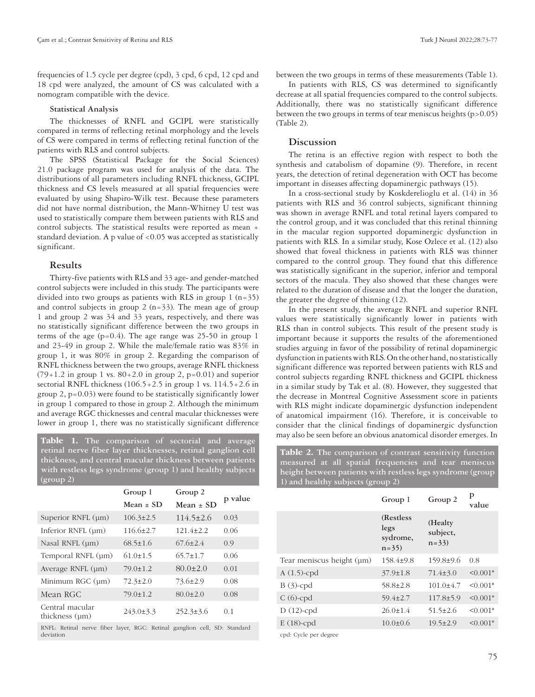frequencies of 1.5 cycle per degree (cpd), 3 cpd, 6 cpd, 12 cpd and 18 cpd were analyzed, the amount of CS was calculated with a nomogram compatible with the device.

#### **Statistical Analysis**

The thicknesses of RNFL and GCIPL were statistically compared in terms of reflecting retinal morphology and the levels of CS were compared in terms of reflecting retinal function of the patients with RLS and control subjects.

The SPSS (Statistical Package for the Social Sciences) 21.0 package program was used for analysis of the data. The distributions of all parameters including RNFL thickness, GCIPL thickness and CS levels measured at all spatial frequencies were evaluated by using Shapiro-Wilk test. Because these parameters did not have normal distribution, the Mann-Whitney U test was used to statistically compare them between patients with RLS and control subjects. The statistical results were reported as mean + standard deviation. A p value of <0.05 was accepted as statistically significant.

#### **Results**

Thirty-five patients with RLS and 33 age- and gender-matched control subjects were included in this study. The participants were divided into two groups as patients with RLS in group  $1$  (n=35) and control subjects in group  $2(n=33)$ . The mean age of group 1 and group 2 was 34 and 33 years, respectively, and there was no statistically significant difference between the two groups in terms of the age  $(p=0.4)$ . The age range was 25-50 in group 1 and 23-49 in group 2. While the male/female ratio was 83% in group 1, it was 80% in group 2. Regarding the comparison of RNFL thickness between the two groups, average RNFL thickness (79+1.2 in group 1 vs. 80+2.0 in group 2, p=0.01) and superior sectorial RNFL thickness  $(106.5+2.5$  in group 1 vs.  $114.5+2.6$  in group 2, p=0.03) were found to be statistically significantly lower in group 1 compared to those in group 2. Although the minimum and average RGC thicknesses and central macular thicknesses were lower in group 1, there was no statistically significant difference

**Table 1. The comparison of sectorial and average retinal nerve fiber layer thicknesses, retinal ganglion cell thickness, and central macular thickness between patients with restless legs syndrome (group 1) and healthy subjects (group 2)**

|                                                                       | Group 1         | Group 2         | p value |  |  |
|-----------------------------------------------------------------------|-----------------|-----------------|---------|--|--|
|                                                                       | Mean $\pm$ SD   | Mean $\pm$ SD   |         |  |  |
| Superior RNFL (µm)                                                    | $106.3 \pm 2.5$ | $114.5 \pm 2.6$ | 0.03    |  |  |
| Inferior RNFL (µm)                                                    | $116.6 \pm 2.7$ | $121.4 \pm 2.2$ | 0.06    |  |  |
| Nasal RNFL (um)                                                       | $68.5 \pm 1.6$  | $67.6 \pm 2.4$  | 0.9     |  |  |
| Temporal RNFL (um)                                                    | $61.0 \pm 1.5$  | $65.7 \pm 1.7$  | 0.06    |  |  |
| Average RNFL (um)                                                     | $79.0 \pm 1.2$  | $80.0 \pm 2.0$  | 0.01    |  |  |
| Minimum RGC (um)                                                      | $72.3 \pm 2.0$  | $73.6 \pm 2.9$  | 0.08    |  |  |
| Mean RGC                                                              | $79.0 \pm 1.2$  | $80.0 \pm 2.0$  | 0.08    |  |  |
| Central macular<br>thickness $(\mu m)$                                | $243.0 \pm 3.3$ | $252.3 \pm 3.6$ | 0.1     |  |  |
| DNEL Datinal norm fiber large DCC. Datinal canalism call CD. Standard |                 |                 |         |  |  |

RNFL: Retinal nerve fiber layer, RGC: Retinal ganglion cell, SD: Standard deviation

between the two groups in terms of these measurements (Table 1).

In patients with RLS, CS was determined to significantly decrease at all spatial frequencies compared to the control subjects. Additionally, there was no statistically significant difference between the two groups in terms of tear meniscus heights  $(p>0.05)$ (Table 2).

## **Discussion**

The retina is an effective region with respect to both the synthesis and catabolism of dopamine (9). Therefore, in recent years, the detection of retinal degeneration with OCT has become important in diseases affecting dopaminergic pathways (15).

In a cross-sectional study by Koskderelioglu et al. (14) in 36 patients with RLS and 36 control subjects, significant thinning was shown in average RNFL and total retinal layers compared to the control group, and it was concluded that this retinal thinning in the macular region supported dopaminergic dysfunction in patients with RLS. In a similar study, Kose Ozlece et al. (12) also showed that foveal thickness in patients with RLS was thinner compared to the control group. They found that this difference was statistically significant in the superior, inferior and temporal sectors of the macula. They also showed that these changes were related to the duration of disease and that the longer the duration, the greater the degree of thinning (12).

In the present study, the average RNFL and superior RNFL values were statistically significantly lower in patients with RLS than in control subjects. This result of the present study is important because it supports the results of the aforementioned studies arguing in favor of the possibility of retinal dopaminergic dysfunction in patients with RLS. On the other hand, no statistically significant difference was reported between patients with RLS and control subjects regarding RNFL thickness and GCIPL thickness in a similar study by Tak et al. (8). However, they suggested that the decrease in Montreal Cognitive Assessment score in patients with RLS might indicate dopaminergic dysfunction independent of anatomical impairment (16). Therefore, it is conceivable to consider that the clinical findings of dopaminergic dysfunction may also be seen before an obvious anatomical disorder emerges. In

**Table 2. The comparison of contrast sensitivity function measured at all spatial frequencies and tear meniscus height between patients with restless legs syndrome (group 1) and healthy subjects (group 2)**

|                           | Group 1                                    | Group 2                       | p<br>value |
|---------------------------|--------------------------------------------|-------------------------------|------------|
|                           | (Restless)<br>legs<br>sydrome,<br>$n = 35$ | (Healty<br>subject,<br>$n=33$ |            |
| Tear meniscus height (µm) | $158.4 \pm 9.8$                            | $159.8 \pm 9.6$               | 0.8        |
| $A(1.5)$ -cpd             | $37.9 \pm 1.8$                             | $71.4 \pm 3.0$                | $< 0.001*$ |
| $B(3)$ -cpd               | $58.8 \pm 2.8$                             | $101.0 \pm 4.7$               | $< 0.001*$ |
| $C(6)$ -cpd               | $59.4 \pm 2.7$                             | $117.8 \pm 5.9$               | $< 0.001*$ |
| $D(12)$ -cpd              | $26.0 \pm 1.4$                             | $51.5 \pm 2.6$                | $< 0.001*$ |
| $E(18)$ -cpd              | $10.0 \pm 0.6$                             | $19.5 \pm 2.9$                | $< 0.001*$ |
| and Code and decor-       |                                            |                               |            |

cpd: Cycle per degree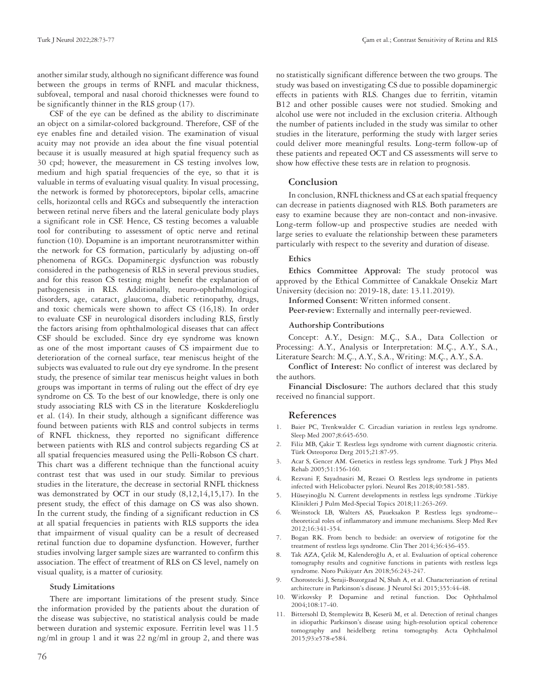another similar study, although no significant difference was found between the groups in terms of RNFL and macular thickness, subfoveal, temporal and nasal choroid thicknesses were found to be significantly thinner in the RLS group (17).

CSF of the eye can be defined as the ability to discriminate an object on a similar-colored background. Therefore, CSF of the eye enables fine and detailed vision. The examination of visual acuity may not provide an idea about the fine visual potential because it is usually measured at high spatial frequency such as 30 cpd; however, the measurement in CS testing involves low, medium and high spatial frequencies of the eye, so that it is valuable in terms of evaluating visual quality. In visual processing, the network is formed by photoreceptors, bipolar cells, amacrine cells, horizontal cells and RGCs and subsequently the interaction between retinal nerve fibers and the lateral geniculate body plays a significant role in CSF. Hence, CS testing becomes a valuable tool for contributing to assessment of optic nerve and retinal function (10). Dopamine is an important neurotransmitter within the network for CS formation, particularly by adjusting on-off phenomena of RGCs. Dopaminergic dysfunction was robustly considered in the pathogenesis of RLS in several previous studies, and for this reason CS testing might benefit the explanation of pathogenesis in RLS. Additionally, neuro-ophthalmological disorders, age, cataract, glaucoma, diabetic retinopathy, drugs, and toxic chemicals were shown to affect CS (16,18). In order to evaluate CSF in neurological disorders including RLS, firstly the factors arising from ophthalmological diseases that can affect CSF should be excluded. Since dry eye syndrome was known as one of the most important causes of CS impairment due to deterioration of the corneal surface, tear meniscus height of the subjects was evaluated to rule out dry eye syndrome. In the present study, the presence of similar tear meniscus height values in both groups was important in terms of ruling out the effect of dry eye syndrome on CS. To the best of our knowledge, there is only one study associating RLS with CS in the literature Koskderelioglu et al. (14). In their study, although a significant difference was found between patients with RLS and control subjects in terms of RNFL thickness, they reported no significant difference between patients with RLS and control subjects regarding CS at all spatial frequencies measured using the Pelli-Robson CS chart. This chart was a different technique than the functional acuity contrast test that was used in our study. Similar to previous studies in the literature, the decrease in sectorial RNFL thickness was demonstrated by OCT in our study (8,12,14,15,17). In the present study, the effect of this damage on CS was also shown. In the current study, the finding of a significant reduction in CS at all spatial frequencies in patients with RLS supports the idea that impairment of visual quality can be a result of decreased retinal function due to dopamine dysfunction. However, further studies involving larger sample sizes are warranted to confirm this association. The effect of treatment of RLS on CS level, namely on visual quality, is a matter of curiosity.

#### **Study Limitations**

There are important limitations of the present study. Since the information provided by the patients about the duration of the disease was subjective, no statistical analysis could be made between duration and systemic exposure. Ferritin level was 11.5 ng/ml in group 1 and it was 22 ng/ml in group 2, and there was

no statistically significant difference between the two groups. The study was based on investigating CS due to possible dopaminergic effects in patients with RLS. Changes due to ferritin, vitamin B12 and other possible causes were not studied. Smoking and alcohol use were not included in the exclusion criteria. Although the number of patients included in the study was similar to other studies in the literature, performing the study with larger series could deliver more meaningful results. Long-term follow-up of these patients and repeated OCT and CS assessments will serve to show how effective these tests are in relation to prognosis.

# **Conclusion**

In conclusion, RNFL thickness and CS at each spatial frequency can decrease in patients diagnosed with RLS. Both parameters are easy to examine because they are non-contact and non-invasive. Long-term follow-up and prospective studies are needed with large series to evaluate the relationship between these parameters particularly with respect to the severity and duration of disease.

#### **Ethics**

**Ethics Committee Approval:** The study protocol was approved by the Ethical Committee of Canakkale Onsekiz Mart University (decision no: 2019-18, date: 13.11.2019).

**Informed Consent:** Written informed consent.

Peer-review: Externally and internally peer-reviewed.

#### **Authorship Contributions**

Concept: A.Y., Design: M.Ç., S.A., Data Collection or Processing: A.Y., Analysis or Interpretation: M.Ç., A.Y., S.A., Literature Search: M.Ç., A.Y., S.A., Writing: M.Ç., A.Y., S.A.

**Conflict of Interest:** No conflict of interest was declared by the authors.

**Financial Disclosure:** The authors declared that this study received no financial support.

## **References**

- 1. Baier PC, Trenkwalder C. Circadian variation in restless legs syndrome. Sleep Med 2007;8:645-650.
- 2. Filiz MB, Çakir T. Restless legs syndrome with current diagnostic criteria. Türk Osteoporoz Derg 2015;21:87-95.
- 3. Acar S, Gencer AM. Genetics in restless legs syndrome. Turk J Phys Med Rehab 2005;51:156-160.
- 4. Rezvani F, Sayadnasiri M, Rezaei O. Restless legs syndrome in patients infected with Helicobacter pylori. Neurol Res 2018;40:581-585.
- 5. Hüseyinoğlu N. Current developments in restless legs syndrome .Türkiye Klinikleri J Pulm Med-Special Topics 2018;11:263-269.
- 6. Weinstock LB, Walters AS, Paueksakon P. Restless legs syndrome- theoretical roles of inflammatory and immune mechanisms. Sleep Med Rev 2012;16:341-354.
- 7. Bogan RK. From bench to bedside: an overview of rotigotine for the treatment of restless legs syndrome. Clin Ther 2014;36:436-455.
- 8. Tak AZA, Çelik M, Kalenderoğlu A, et al. Evaluation of optical coherence tomography results and cognitive functions in patients with restless legs syndrome. Noro Psikiyatr Ars 2018;56:243-247.
- 9. Chorostecki J, Seraji-Bozorgzad N, Shah A, et al. Characterization of retinal architecture in Parkinson's disease. J Neurol Sci 2015;355:44-48.
- 10. Witkovsky P. Dopamine and retinal function. Doc Ophthalmol 2004;108:17-40.
- 11. Bittersohl D, Stemplewitz B, Keserü M, et al. Detection of retinal changes in idiopathic Parkinson's disease using high-resolution optical coherence tomography and heidelberg retina tomography. Acta Ophthalmol 2015;93:e578-e584.